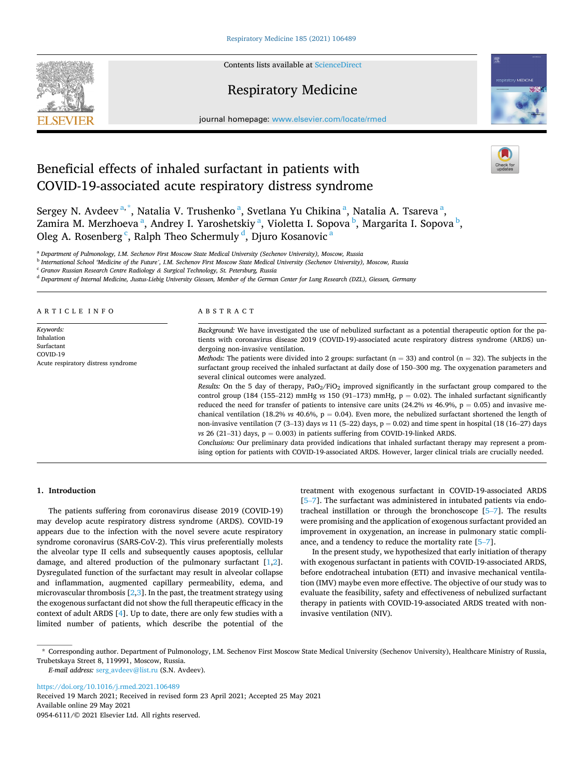Contents lists available at [ScienceDirect](www.sciencedirect.com/science/journal/09546111)



# Respiratory Medicine



journal homepage: [www.elsevier.com/locate/rmed](https://www.elsevier.com/locate/rmed)

# Beneficial effects of inhaled surfactant in patients with COVID-19-associated acute respiratory distress syndrome

Sergey N. Avdeev<sup>a,\*</sup>, Natalia V. Trushenko<sup>a</sup>, Svetlana Yu Chikina<sup>a</sup>, Natalia A. Tsareva<sup>a</sup>, Zamira M. Merzhoeva <sup>a</sup>, Andrey I. Yaroshetskiy <sup>a</sup>, Violetta I. Sopova <sup>b</sup>, Margarita I. Sopova <sup>b</sup>, Oleg A. Rosenberg  $\lq$ , Ralph Theo Schermuly  $\sp{d}$ , Djuro Kosanovic  $\sp{a}$ 

<sup>a</sup> *Department of Pulmonology, I.M. Sechenov First Moscow State Medical University (Sechenov University), Moscow, Russia* 

<sup>b</sup> *International School 'Medicine of the Future', I.M. Sechenov First Moscow State Medical University (Sechenov University), Moscow, Russia* 

<sup>c</sup> *Granov Russian Research Centre Radiology & Surgical Technology, St. Petersburg, Russia* 

<sup>d</sup> *Department of Internal Medicine, Justus-Liebig University Giessen, Member of the German Center for Lung Research (DZL), Giessen, Germany* 

#### ARTICLE INFO

*Keywords:*  Inhalation Surfactant COVID-19 Acute respiratory distress syndrome

#### ABSTRACT

*Background:* We have investigated the use of nebulized surfactant as a potential therapeutic option for the patients with coronavirus disease 2019 (COVID-19)-associated acute respiratory distress syndrome (ARDS) undergoing non-invasive ventilation.

*Methods:* The patients were divided into 2 groups: surfactant (n = 33) and control (n = 32). The subjects in the surfactant group received the inhaled surfactant at daily dose of 150–300 mg. The oxygenation parameters and several clinical outcomes were analyzed.

*Results:* On the 5 day of therapy, PaO<sub>2</sub>/FiO<sub>2</sub> improved significantly in the surfactant group compared to the control group (184 (155–212) mmHg  $v s$  150 (91–173) mmHg,  $p = 0.02$ ). The inhaled surfactant significantly reduced the need for transfer of patients to intensive care units (24.2%  $v_s$  46.9%,  $p = 0.05$ ) and invasive mechanical ventilation (18.2%  $v_s$  40.6%,  $p = 0.04$ ). Even more, the nebulized surfactant shortened the length of non-invasive ventilation (7 (3–13) days *vs* 11 (5–22) days, p = 0.02) and time spent in hospital (18 (16–27) days  $vs$  26 (21-31) days,  $p = 0.003$ ) in patients suffering from COVID-19-linked ARDS.

*Conclusions:* Our preliminary data provided indications that inhaled surfactant therapy may represent a promising option for patients with COVID-19-associated ARDS. However, larger clinical trials are crucially needed.

# **1. Introduction**

The patients suffering from coronavirus disease 2019 (COVID-19) may develop acute respiratory distress syndrome (ARDS). COVID-19 appears due to the infection with the novel severe acute respiratory syndrome coronavirus (SARS-CoV-2). This virus preferentially molests the alveolar type II cells and subsequently causes apoptosis, cellular damage, and altered production of the pulmonary surfactant [[1](#page-2-0),[2](#page-2-0)]. Dysregulated function of the surfactant may result in alveolar collapse and inflammation, augmented capillary permeability, edema, and microvascular thrombosis  $[2,3]$  $[2,3]$  $[2,3]$  $[2,3]$  $[2,3]$ . In the past, the treatment strategy using the exogenous surfactant did not show the full therapeutic efficacy in the context of adult ARDS [[4](#page-2-0)]. Up to date, there are only few studies with a limited number of patients, which describe the potential of the

treatment with exogenous surfactant in COVID-19-associated ARDS [5–[7\]](#page-2-0). The surfactant was administered in intubated patients via endotracheal instillation or through the bronchoscope [\[5](#page-2-0)–7]. The results were promising and the application of exogenous surfactant provided an improvement in oxygenation, an increase in pulmonary static compliance, and a tendency to reduce the mortality rate [\[5](#page-2-0)–7].

In the present study, we hypothesized that early initiation of therapy with exogenous surfactant in patients with COVID-19-associated ARDS, before endotracheal intubation (ETI) and invasive mechanical ventilation (IMV) maybe even more effective. The objective of our study was to evaluate the feasibility, safety and effectiveness of nebulized surfactant therapy in patients with COVID-19-associated ARDS treated with noninvasive ventilation (NIV).

<https://doi.org/10.1016/j.rmed.2021.106489>

Available online 29 May 2021 0954-6111/© 2021 Elsevier Ltd. All rights reserved. Received 19 March 2021; Received in revised form 23 April 2021; Accepted 25 May 2021

<sup>\*</sup> Corresponding author. Department of Pulmonology, I.M. Sechenov First Moscow State Medical University (Sechenov University), Healthcare Ministry of Russia, Trubetskaya Street 8, 119991, Moscow, Russia.

*E-mail address:* [serg\\_avdeev@list.ru](mailto:serg_avdeev@list.ru) (S.N. Avdeev).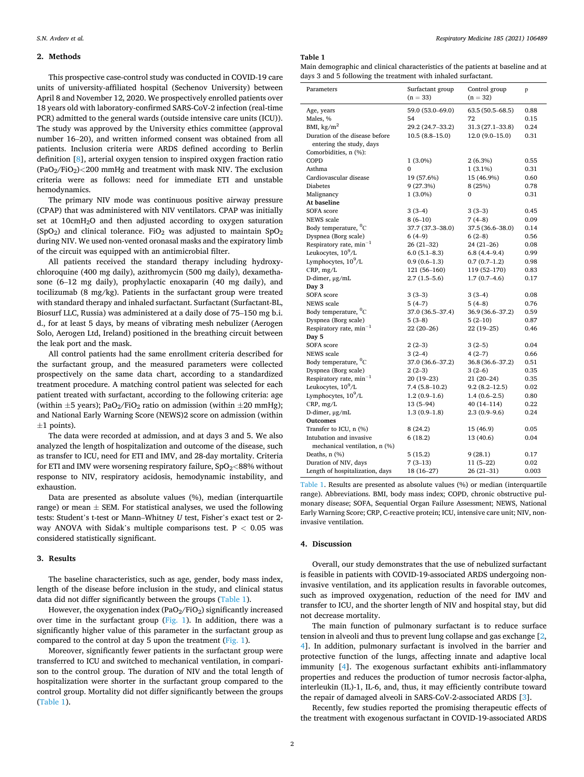# **2. Methods**

This prospective case-control study was conducted in COVID-19 care units of university-affiliated hospital (Sechenov University) between April 8 and November 12, 2020. We prospectively enrolled patients over 18 years old with laboratory-confirmed SARS-CoV-2 infection (real-time PCR) admitted to the general wards (outside intensive care units (ICU)). The study was approved by the University ethics committee (approval number 16–20), and written informed consent was obtained from all patients. Inclusion criteria were ARDS defined according to Berlin definition [[8](#page-2-0)], arterial oxygen tension to inspired oxygen fraction ratio (PaO2/FiO2)*<*200 mmHg and treatment with mask NIV. The exclusion criteria were as follows: need for immediate ETI and unstable hemodynamics.

The primary NIV mode was continuous positive airway pressure (CPAP) that was administered with NIV ventilators. CPAP was initially set at 10cmH<sub>2</sub>O and then adjusted according to oxygen saturation (SpO<sub>2</sub>) and clinical tolerance. FiO<sub>2</sub> was adjusted to maintain  $SpO<sub>2</sub>$ during NIV. We used non-vented oronasal masks and the expiratory limb of the circuit was equipped with an antimicrobial filter.

All patients received the standard therapy including hydroxychloroquine (400 mg daily), azithromycin (500 mg daily), dexamethasone (6–12 mg daily), prophylactic enoxaparin (40 mg daily), and tocilizumab (8 mg/kg). Patients in the surfactant group were treated with standard therapy and inhaled surfactant. Surfactant (Surfactant-BL, Biosurf LLC, Russia) was administered at a daily dose of 75–150 mg b.i. d., for at least 5 days, by means of vibrating mesh nebulizer (Aerogen Solo, Aerogen Ltd, Ireland) positioned in the breathing circuit between the leak port and the mask.

All control patients had the same enrollment criteria described for the surfactant group, and the measured parameters were collected prospectively on the same data chart, according to a standardized treatment procedure. A matching control patient was selected for each patient treated with surfactant, according to the following criteria: age (within  $\pm 5$  years); PaO<sub>2</sub>/FiO<sub>2</sub> ratio on admission (within  $\pm 20$  mmHg); and National Early Warning Score (NEWS)2 score on admission (within  $\pm 1$  points).

The data were recorded at admission, and at days 3 and 5. We also analyzed the length of hospitalization and outcome of the disease, such as transfer to ICU, need for ETI and IMV, and 28-day mortality. Criteria for ETI and IMV were worsening respiratory failure, SpO<sub>2</sub><88% without response to NIV, respiratory acidosis, hemodynamic instability, and exhaustion.

Data are presented as absolute values (%), median (interquartile range) or mean  $\pm$  SEM. For statistical analyses, we used the following tests: Student's t-test or Mann–Whitney *U* test, Fisher's exact test or 2 way ANOVA with Sidak's multiple comparisons test. P *<* 0.05 was considered statistically significant.

#### **3. Results**

The baseline characteristics, such as age, gender, body mass index, length of the disease before inclusion in the study, and clinical status data did not differ significantly between the groups (Table 1).

However, the oxygenation index (PaO<sub>2</sub>/FiO<sub>2</sub>) significantly increased over time in the surfactant group ( $Fig. 1$ ). In addition, there was a significantly higher value of this parameter in the surfactant group as compared to the control at day 5 upon the treatment [\(Fig. 1](#page-2-0)).

Moreover, significantly fewer patients in the surfactant group were transferred to ICU and switched to mechanical ventilation, in comparison to the control group. The duration of NIV and the total length of hospitalization were shorter in the surfactant group compared to the control group. Mortality did not differ significantly between the groups (Table 1).

**Table 1** 

Main demographic and clinical characteristics of the patients at baseline and at days 3 and 5 following the treatment with inhaled surfactant.

| Parameters                                                 | Surfactant group<br>$(n = 33)$ | Control group<br>$(n = 32)$ | p     |
|------------------------------------------------------------|--------------------------------|-----------------------------|-------|
| Age, years                                                 | 59.0 (53.0-69.0)               | $63.5(50.5 - 68.5)$         | 0.88  |
| Males, %                                                   | 54                             | 72                          | 0.15  |
| BMI, $\text{kg/m}^2$                                       | 29.2 (24.7-33.2)               | 31.3 (27.1-33.8)            | 0.24  |
| Duration of the disease before<br>entering the study, days | $10.5(8.8-15.0)$               | $12.0(9.0-15.0)$            | 0.31  |
| Comorbidities, n (%):                                      |                                |                             |       |
| COPD                                                       | $1(3.0\%)$                     | $2(6.3\%)$                  | 0.55  |
| Asthma                                                     | $\mathbf{0}$                   | $1(3.1\%)$                  | 0.31  |
| Cardiovascular disease                                     | 19 (57.6%)                     | 15 (46.9%)                  | 0.60  |
| <b>Diabetes</b>                                            | 9 (27.3%)                      | 8 (25%)                     | 0.78  |
| Malignancy                                                 | $1(3.0\%)$                     | 0                           | 0.31  |
| At baseline                                                |                                |                             |       |
| SOFA score                                                 | $3(3-4)$                       | $3(3-3)$                    | 0.45  |
| <b>NEWS</b> scale                                          | $8(6-10)$                      | $7(4-8)$                    | 0.09  |
| Body temperature, <sup>o</sup> C                           | 37.7 (37.3–38.0)               | 37.5 (36.6-38.0)            | 0.14  |
| Dyspnea (Borg scale)                                       | $6(4-9)$                       | $6(2-8)$                    | 0.56  |
| Respiratory rate, $min^{-1}$                               | $26(21-32)$                    | $24(21-26)$                 | 0.08  |
| Leukocytes, 10 <sup>9</sup> /L                             | $6.0(5.1 - 8.3)$               | $6.8(4.4 - 9.4)$            | 0.99  |
| Lymphocytes, $10^9$ /L                                     | $0.9(0.6-1.3)$                 | $0.7(0.7-1.2)$              | 0.98  |
| CRP, mg/L                                                  | 121 (56–160)                   | 119 (52-170)                | 0.83  |
| D-dimer, µg/mL                                             | $2.7(1.5-5.6)$                 | $1.7(0.7-4.6)$              | 0.17  |
| Day 3                                                      |                                |                             |       |
| <b>SOFA</b> score                                          | $3(3-3)$                       | $3(3-4)$                    | 0.08  |
| <b>NEWS</b> scale                                          | $5(4-7)$                       | $5(4-8)$                    | 0.76  |
| Body temperature, <sup>0</sup> C                           | 37.0 (36.5–37.4)               | 36.9 (36.6-37.2)            | 0.59  |
| Dyspnea (Borg scale)                                       | $5(3-8)$                       | $5(2-10)$                   | 0.87  |
| Respiratory rate, $min^{-1}$                               | $22(20-26)$                    | 22 (19-25)                  | 0.46  |
| Day 5                                                      |                                |                             |       |
| SOFA score                                                 | $2(2-3)$                       | $3(2-5)$                    | 0.04  |
| <b>NEWS</b> scale                                          | $3(2-4)$                       | $4(2-7)$                    | 0.66  |
| Body temperature, <sup>0</sup> C                           | 37.0 (36.6-37.2)               | 36.8 (36.6-37.2)            | 0.51  |
| Dyspnea (Borg scale)                                       | $2(2-3)$                       | $3(2-6)$                    | 0.35  |
| Respiratory rate, $min^{-1}$                               | $20(19-23)$                    | $21(20-24)$                 | 0.35  |
| Leukocytes, 10 <sup>9</sup> /L                             | 7.4 (5.8–10.2)                 | $9.2(8.2 - 12.5)$           | 0.02  |
| Lymphocytes, $10^9$ /L                                     | $1.2(0.9-1.6)$                 | $1.4(0.6-2.5)$              | 0.80  |
| CRP, mg/L                                                  | $13(5-94)$                     | $40(14-114)$                | 0.22  |
| D-dimer, µg/mL                                             | $1.3(0.9-1.8)$                 | $2.3(0.9-9.6)$              | 0.24  |
| <b>Outcomes</b>                                            |                                |                             |       |
| Transfer to ICU, n (%)                                     | 8 (24.2)                       | 15 (46.9)                   | 0.05  |
| Intubation and invasive                                    | 6(18.2)                        | 13 (40.6)                   | 0.04  |
| mechanical ventilation, n (%)                              |                                |                             |       |
| Deaths, $n$ $(\%)$                                         | 5(15.2)                        | 9(28.1)                     | 0.17  |
| Duration of NIV, days                                      | $7(3-13)$                      | $11(5-22)$                  | 0.02  |
| Length of hospitalization, days                            | 18 (16–27)                     | 26 (21–31)                  | 0.003 |

Table 1. Results are presented as absolute values (%) or median (interquartile range). Abbreviations. BMI, body mass index; COPD, chronic obstructive pulmonary disease; SOFA, Sequential Organ Failure Assessment; NEWS, National Early Warning Score; CRP, C-reactive protein; ICU, intensive care unit; NIV, noninvasive ventilation.

# **4. Discussion**

Overall, our study demonstrates that the use of nebulized surfactant is feasible in patients with COVID-19-associated ARDS undergoing noninvasive ventilation, and its application results in favorable outcomes, such as improved oxygenation, reduction of the need for IMV and transfer to ICU, and the shorter length of NIV and hospital stay, but did not decrease mortality.

The main function of pulmonary surfactant is to reduce surface tension in alveoli and thus to prevent lung collapse and gas exchange [[2](#page-2-0), [4](#page-2-0)]. In addition, pulmonary surfactant is involved in the barrier and protective function of the lungs, affecting innate and adaptive local immunity [[4](#page-2-0)]. The exogenous surfactant exhibits anti-inflammatory properties and reduces the production of tumor necrosis factor-alpha, interleukin (IL)-1, IL-6, and, thus, it may efficiently contribute toward the repair of damaged alveoli in SARS-CoV-2-associated ARDS [[3](#page-2-0)].

Recently, few studies reported the promising therapeutic effects of the treatment with exogenous surfactant in COVID-19-associated ARDS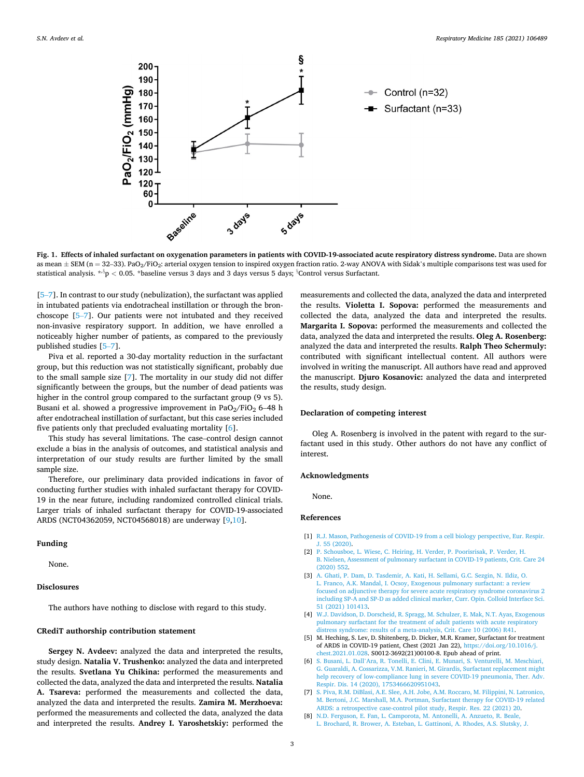<span id="page-2-0"></span>

**Fig. 1. Effects of inhaled surfactant on oxygenation parameters in patients with COVID-19-associated acute respiratory distress syndrome.** Data are shown as mean  $\pm$  SEM (n = 32-33). PaO<sub>2</sub>/FiO<sub>2</sub>: arterial oxygen tension to inspired oxygen fraction ratio. 2-way ANOVA with Sidak's multiple comparisons test was used for statistical analysis. \*<sup>,§</sup>p < 0.05. \*baseline versus 3 days and 3 days versus 5 days; <sup>§</sup>Control versus Surfactant.

[5–7]. In contrast to our study (nebulization), the surfactant was applied in intubated patients via endotracheal instillation or through the bronchoscope [5–7]. Our patients were not intubated and they received non-invasive respiratory support. In addition, we have enrolled a noticeably higher number of patients, as compared to the previously published studies [5–7].

Piva et al. reported a 30-day mortality reduction in the surfactant group, but this reduction was not statistically significant, probably due to the small sample size [7]. The mortality in our study did not differ significantly between the groups, but the number of dead patients was higher in the control group compared to the surfactant group (9 vs 5). Busani et al. showed a progressive improvement in PaO<sub>2</sub>/FiO<sub>2</sub> 6-48 h after endotracheal instillation of surfactant, but this case series included five patients only that precluded evaluating mortality [6].

This study has several limitations. The case–control design cannot exclude a bias in the analysis of outcomes, and statistical analysis and interpretation of our study results are further limited by the small sample size.

Therefore, our preliminary data provided indications in favor of conducting further studies with inhaled surfactant therapy for COVID-19 in the near future, including randomized controlled clinical trials. Larger trials of inhaled surfactant therapy for COVID-19-associated ARDS (NCT04362059, NCT04568018) are underway [\[9,10](#page-3-0)].

### **Funding**

None.

#### **Disclosures**

The authors have nothing to disclose with regard to this study.

### **CRediT authorship contribution statement**

**Sergey N. Avdeev:** analyzed the data and interpreted the results, study design. **Natalia V. Trushenko:** analyzed the data and interpreted the results. **Svetlana Yu Chikina:** performed the measurements and collected the data, analyzed the data and interpreted the results. **Natalia A. Tsareva:** performed the measurements and collected the data, analyzed the data and interpreted the results. **Zamira M. Merzhoeva:**  performed the measurements and collected the data, analyzed the data and interpreted the results. **Andrey I. Yaroshetskiy:** performed the

measurements and collected the data, analyzed the data and interpreted the results. **Violetta I. Sopova:** performed the measurements and collected the data, analyzed the data and interpreted the results. **Margarita I. Sopova:** performed the measurements and collected the data, analyzed the data and interpreted the results. **Oleg A. Rosenberg:**  analyzed the data and interpreted the results. **Ralph Theo Schermuly:**  contributed with significant intellectual content. All authors were involved in writing the manuscript. All authors have read and approved the manuscript. **Djuro Kosanovic:** analyzed the data and interpreted the results, study design.

#### **Declaration of competing interest**

Oleg A. Rosenberg is involved in the patent with regard to the surfactant used in this study. Other authors do not have any conflict of interest.

### **Acknowledgments**

None.

#### **References**

- [1] [R.J. Mason, Pathogenesis of COVID-19 from a cell biology perspective, Eur. Respir.](http://refhub.elsevier.com/S0954-6111(21)00195-5/sref1)  [J. 55 \(2020\)](http://refhub.elsevier.com/S0954-6111(21)00195-5/sref1).
- [2] [P. Schousboe, L. Wiese, C. Heiring, H. Verder, P. Poorisrisak, P. Verder, H.](http://refhub.elsevier.com/S0954-6111(21)00195-5/sref2)  [B. Nielsen, Assessment of pulmonary surfactant in COVID-19 patients, Crit. Care 24](http://refhub.elsevier.com/S0954-6111(21)00195-5/sref2)  [\(2020\) 552](http://refhub.elsevier.com/S0954-6111(21)00195-5/sref2).
- [3] [A. Ghati, P. Dam, D. Tasdemir, A. Kati, H. Sellami, G.C. Sezgin, N. Ildiz, O.](http://refhub.elsevier.com/S0954-6111(21)00195-5/sref3) [L. Franco, A.K. Mandal, I. Ocsoy, Exogenous pulmonary surfactant: a review](http://refhub.elsevier.com/S0954-6111(21)00195-5/sref3) [focused on adjunctive therapy for severe acute respiratory syndrome coronavirus 2](http://refhub.elsevier.com/S0954-6111(21)00195-5/sref3)  [including SP-A and SP-D as added clinical marker, Curr. Opin. Colloid Interface Sci.](http://refhub.elsevier.com/S0954-6111(21)00195-5/sref3)  [51 \(2021\) 101413](http://refhub.elsevier.com/S0954-6111(21)00195-5/sref3).
- [4] [W.J. Davidson, D. Dorscheid, R. Spragg, M. Schulzer, E. Mak, N.T. Ayas, Exogenous](http://refhub.elsevier.com/S0954-6111(21)00195-5/sref4)  [pulmonary surfactant for the treatment of adult patients with acute respiratory](http://refhub.elsevier.com/S0954-6111(21)00195-5/sref4)  [distress syndrome: results of a meta-analysis, Crit. Care 10 \(2006\) R41.](http://refhub.elsevier.com/S0954-6111(21)00195-5/sref4)
- [5] M. Heching, S. Lev, D. Shitenberg, D. Dicker, M.R. Kramer, Surfactant for treatment of ARDS in COVID-19 patient, Chest (2021 Jan 22), [https://doi.org/10.1016/j.](https://doi.org/10.1016/j.chest.2021.01.028)  [chest.2021.01.028](https://doi.org/10.1016/j.chest.2021.01.028). S0012-3692(21)00100-8. Epub ahead of print.
- [6] S. Busani, L. Dall'[Ara, R. Tonelli, E. Clini, E. Munari, S. Venturelli, M. Meschiari,](http://refhub.elsevier.com/S0954-6111(21)00195-5/sref6) [G. Guaraldi, A. Cossarizza, V.M. Ranieri, M. Girardis, Surfactant replacement might](http://refhub.elsevier.com/S0954-6111(21)00195-5/sref6)  help recovery of low-compliance lung in severe COVID-19 pneumonia. Ther. Adv. [Respir. Dis. 14 \(2020\), 1753466620951043](http://refhub.elsevier.com/S0954-6111(21)00195-5/sref6).
- [7] [S. Piva, R.M. DiBlasi, A.E. Slee, A.H. Jobe, A.M. Roccaro, M. Filippini, N. Latronico,](http://refhub.elsevier.com/S0954-6111(21)00195-5/sref7)  [M. Bertoni, J.C. Marshall, M.A. Portman, Surfactant therapy for COVID-19 related](http://refhub.elsevier.com/S0954-6111(21)00195-5/sref7)  [ARDS: a retrospective case-control pilot study, Respir. Res. 22 \(2021\) 20.](http://refhub.elsevier.com/S0954-6111(21)00195-5/sref7)
- [8] [N.D. Ferguson, E. Fan, L. Camporota, M. Antonelli, A. Anzueto, R. Beale,](http://refhub.elsevier.com/S0954-6111(21)00195-5/sref8) [L. Brochard, R. Brower, A. Esteban, L. Gattinoni, A. Rhodes, A.S. Slutsky, J.](http://refhub.elsevier.com/S0954-6111(21)00195-5/sref8)